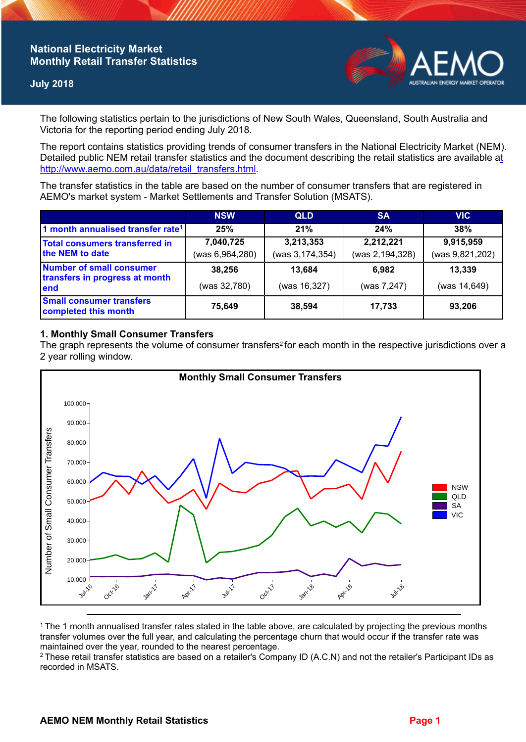# **National Electricity Market Monthly Retail Transfer Statistics**

## **July 2018**



The following statistics pertain to the jurisdictions of New South Wales, Queensland, South Australia and Victoria for the reporting period ending July 2018.

The report contains statistics providing trends of consumer transfers in the National Electricity Market (NEM). Detailed public NEM retail transfer statistics and the document describing the retail statistics are available a[t](http://www.aemo.com.au/data/retail_transfers.html)  http://www.aemo.com.au/data/retail\_transfers.html

The transfer statistics in the table are based on the number of consumer transfers that are registered in AEMO's market system - Market Settlements and Transfer Solution (MSATS).

|                                                                    | <b>NSW</b>                   | <b>QLD</b>                   | <b>SA</b>                    | <b>VIC</b>                   |
|--------------------------------------------------------------------|------------------------------|------------------------------|------------------------------|------------------------------|
| 1 month annualised transfer rate <sup>1</sup>                      | 25%                          | 21%                          | 24%                          | 38%                          |
| <b>Total consumers transferred in</b><br>the NEM to date           | 7,040,725<br>(was 6,964,280) | 3,213,353<br>(was 3,174,354) | 2,212,221<br>(was 2,194,328) | 9,915,959<br>(was 9,821,202) |
| Number of small consumer<br>transfers in progress at month<br>lend | 38,256<br>(was 32,780)       | 13,684<br>(was 16,327)       | 6,982<br>(was 7,247)         | 13,339<br>(was 14,649)       |
| <b>Small consumer transfers</b><br>completed this month            | 75,649                       | 38,594                       | 17,733                       | 93,206                       |

## **1. Monthly Small Consumer Transfers**

The graph represents the volume of consumer transfers<sup>2</sup> for each month in the respective jurisdictions over a 2 year rolling window.



<sup>1</sup>The 1 month annualised transfer rates stated in the table above, are calculated by projecting the previous months transfer volumes over the full year, and calculating the percentage churn that would occur if the transfer rate was maintained over the year, rounded to the nearest percentage.

<sup>2</sup> These retail transfer statistics are based on a retailer's Company ID (A.C.N) and not the retailer's Participant IDs as recorded in MSATS.